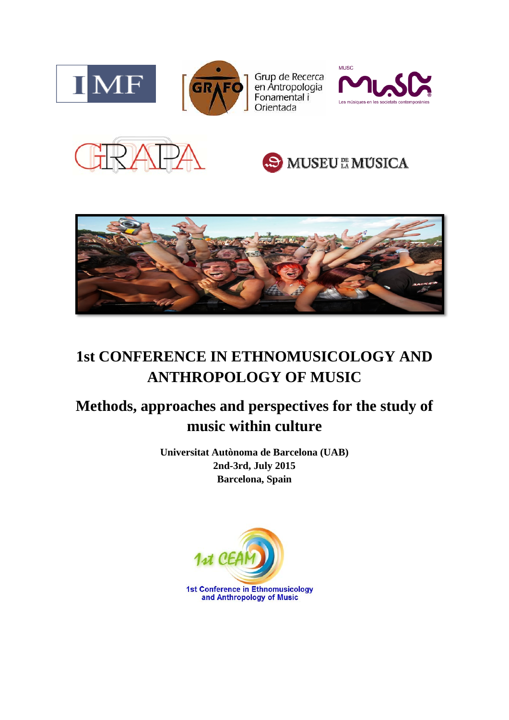

Grup de Recerca<br>en Antropologia<br>Fonamental i Orientada









# **1st CONFERENCE IN ETHNOMUSICOLOGY AND ANTHROPOLOGY OF MUSIC**

## **Methods, approaches and perspectives for the study of music within culture**

**Universitat Autònoma de Barcelona (UAB) 2nd-3rd, July 2015 Barcelona, Spain** 

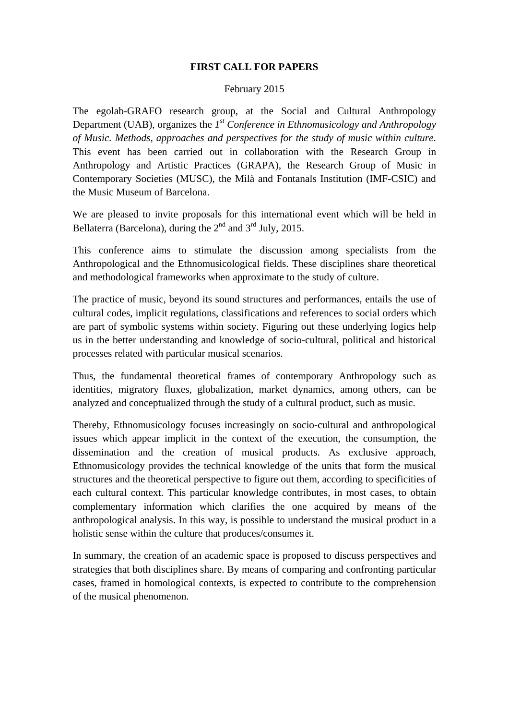### **FIRST CALL FOR PAPERS**

#### February 2015

The egolab-GRAFO research group, at the Social and Cultural Anthropology Department (UAB), organizes the *1st Conference in Ethnomusicology and Anthropology of Music. Methods, approaches and perspectives for the study of music within culture*. This event has been carried out in collaboration with the Research Group in Anthropology and Artistic Practices (GRAPA), the Research Group of Music in Contemporary Societies (MUSC), the Milà and Fontanals Institution (IMF-CSIC) and the Music Museum of Barcelona.

We are pleased to invite proposals for this international event which will be held in Bellaterra (Barcelona), during the  $2<sup>nd</sup>$  and  $3<sup>rd</sup>$  July, 2015.

This conference aims to stimulate the discussion among specialists from the Anthropological and the Ethnomusicological fields. These disciplines share theoretical and methodological frameworks when approximate to the study of culture.

The practice of music, beyond its sound structures and performances, entails the use of cultural codes, implicit regulations, classifications and references to social orders which are part of symbolic systems within society. Figuring out these underlying logics help us in the better understanding and knowledge of socio-cultural, political and historical processes related with particular musical scenarios.

Thus, the fundamental theoretical frames of contemporary Anthropology such as identities, migratory fluxes, globalization, market dynamics, among others, can be analyzed and conceptualized through the study of a cultural product, such as music.

Thereby, Ethnomusicology focuses increasingly on socio-cultural and anthropological issues which appear implicit in the context of the execution, the consumption, the dissemination and the creation of musical products. As exclusive approach, Ethnomusicology provides the technical knowledge of the units that form the musical structures and the theoretical perspective to figure out them, according to specificities of each cultural context. This particular knowledge contributes, in most cases, to obtain complementary information which clarifies the one acquired by means of the anthropological analysis. In this way, is possible to understand the musical product in a holistic sense within the culture that produces/consumes it.

In summary, the creation of an academic space is proposed to discuss perspectives and strategies that both disciplines share. By means of comparing and confronting particular cases, framed in homological contexts, is expected to contribute to the comprehension of the musical phenomenon.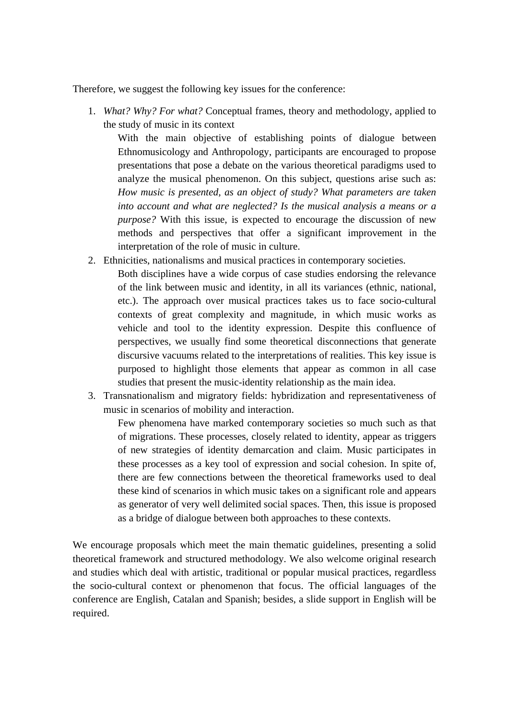Therefore, we suggest the following key issues for the conference:

1. *What? Why? For what?* Conceptual frames, theory and methodology, applied to the study of music in its context

With the main objective of establishing points of dialogue between Ethnomusicology and Anthropology, participants are encouraged to propose presentations that pose a debate on the various theoretical paradigms used to analyze the musical phenomenon. On this subject, questions arise such as: *How music is presented, as an object of study? What parameters are taken into account and what are neglected? Is the musical analysis a means or a purpose?* With this issue, is expected to encourage the discussion of new methods and perspectives that offer a significant improvement in the interpretation of the role of music in culture.

- 2. Ethnicities, nationalisms and musical practices in contemporary societies.
	- Both disciplines have a wide corpus of case studies endorsing the relevance of the link between music and identity, in all its variances (ethnic, national, etc.). The approach over musical practices takes us to face socio-cultural contexts of great complexity and magnitude, in which music works as vehicle and tool to the identity expression. Despite this confluence of perspectives, we usually find some theoretical disconnections that generate discursive vacuums related to the interpretations of realities. This key issue is purposed to highlight those elements that appear as common in all case studies that present the music-identity relationship as the main idea.
- 3. Transnationalism and migratory fields: hybridization and representativeness of music in scenarios of mobility and interaction.

Few phenomena have marked contemporary societies so much such as that of migrations. These processes, closely related to identity, appear as triggers of new strategies of identity demarcation and claim. Music participates in these processes as a key tool of expression and social cohesion. In spite of, there are few connections between the theoretical frameworks used to deal these kind of scenarios in which music takes on a significant role and appears as generator of very well delimited social spaces. Then, this issue is proposed as a bridge of dialogue between both approaches to these contexts.

We encourage proposals which meet the main thematic guidelines, presenting a solid theoretical framework and structured methodology. We also welcome original research and studies which deal with artistic, traditional or popular musical practices, regardless the socio-cultural context or phenomenon that focus. The official languages of the conference are English, Catalan and Spanish; besides, a slide support in English will be required.